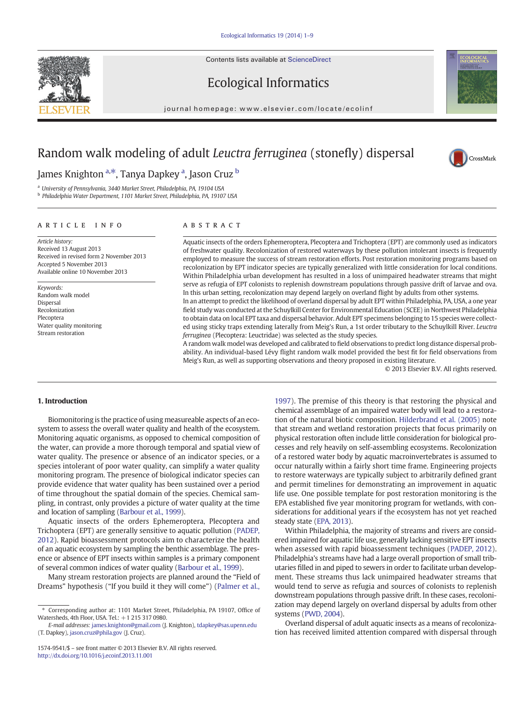Contents lists available at ScienceDirect





journal homepage: www.elsevier.com/locate/ecolinf

# Random walk modeling of adult Leuctra ferruginea (stonefly) dispersal

# James Knighton <sup>a,\*</sup>, Tanya Dapkey <sup>a</sup>, Jason Cruz <sup>b</sup>

<sup>a</sup> University of Pennsylvania, 3440 Market Street, Philadelphia, PA, 19104 USA

<sup>b</sup> Philadelphia Water Department, 1101 Market Street, Philadelphia, PA, 19107 USA

# article info abstract

Article history: Received 13 August 2013 Received in revised form 2 November 2013 Accepted 5 November 2013 Available online 10 November 2013

Keywords: Random walk model Dispersal Recolonization Plecoptera Water quality monitoring Stream restoration

Aquatic insects of the orders Ephemeroptera, Plecoptera and Trichoptera (EPT) are commonly used as indicators of freshwater quality. Recolonization of restored waterways by these pollution intolerant insects is frequently employed to measure the success of stream restoration efforts. Post restoration monitoring programs based on recolonization by EPT indicator species are typically generalized with little consideration for local conditions. Within Philadelphia urban development has resulted in a loss of unimpaired headwater streams that might serve as refugia of EPT colonists to replenish downstream populations through passive drift of larvae and ova. In this urban setting, recolonization may depend largely on overland flight by adults from other systems. In an attempt to predict the likelihood of overland dispersal by adult EPT within Philadelphia, PA, USA, a one year

field study was conducted at the Schuylkill Center for Environmental Education (SCEE) in Northwest Philadelphia to obtain data on local EPT taxa and dispersal behavior. Adult EPT specimens belonging to 15 species were collected using sticky traps extending laterally from Meig's Run, a 1st order tributary to the Schuylkill River. Leuctra ferruginea (Plecoptera: Leuctridae) was selected as the study species.

A random walk model was developed and calibrated to field observations to predict long distance dispersal probability. An individual-based Lévy flight random walk model provided the best fit for field observations from Meig's Run, as well as supporting observations and theory proposed in existing literature.

© 2013 Elsevier B.V. All rights reserved.

CrossMark

# 1. Introduction

Biomonitoring is the practice of using measureable aspects of an ecosystem to assess the overall water quality and health of the ecosystem. Monitoring aquatic organisms, as opposed to chemical composition of the water, can provide a more thorough temporal and spatial view of water quality. The presence or absence of an indicator species, or a species intolerant of poor water quality, can simplify a water quality monitoring program. The presence of biological indicator species can provide evidence that water quality has been sustained over a period of time throughout the spatial domain of the species. Chemical sampling, in contrast, only provides a picture of water quality at the time and location of sampling [\(Barbour et al., 1999](#page-7-0)).

Aquatic insects of the orders Ephemeroptera, Plecoptera and Trichoptera (EPT) are generally sensitive to aquatic pollution ([PADEP,](#page-8-0) [2012\)](#page-8-0). Rapid bioassessment protocols aim to characterize the health of an aquatic ecosystem by sampling the benthic assemblage. The presence or absence of EPT insects within samples is a primary component of several common indices of water quality [\(Barbour et al., 1999](#page-7-0)).

Many stream restoration projects are planned around the "Field of Dreams" hypothesis ("If you build it they will come") ([Palmer et al.,](#page-8-0)

[1997\)](#page-8-0). The premise of this theory is that restoring the physical and chemical assemblage of an impaired water body will lead to a restoration of the natural biotic composition. [Hilderbrand et al. \(2005\)](#page-7-0) note that stream and wetland restoration projects that focus primarily on physical restoration often include little consideration for biological processes and rely heavily on self-assembling ecosystems. Recolonization of a restored water body by aquatic macroinvertebrates is assumed to occur naturally within a fairly short time frame. Engineering projects to restore waterways are typically subject to arbitrarily defined grant and permit timelines for demonstrating an improvement in aquatic life use. One possible template for post restoration monitoring is the EPA established five year monitoring program for wetlands, with considerations for additional years if the ecosystem has not yet reached steady state [\(EPA, 2013\)](#page-7-0).

Within Philadelphia, the majority of streams and rivers are considered impaired for aquatic life use, generally lacking sensitive EPT insects when assessed with rapid bioassessment techniques [\(PADEP, 2012](#page-8-0)). Philadelphia's streams have had a large overall proportion of small tributaries filled in and piped to sewers in order to facilitate urban development. These streams thus lack unimpaired headwater streams that would tend to serve as refugia and sources of colonists to replenish downstream populations through passive drift. In these cases, recolonization may depend largely on overland dispersal by adults from other systems [\(PWD, 2004](#page-8-0)).

Overland dispersal of adult aquatic insects as a means of recolonization has received limited attention compared with dispersal through

<sup>⁎</sup> Corresponding author at: 1101 Market Street, Philadelphia, PA 19107, Office of Watersheds, 4th Floor, USA. Tel.: +1 215 317 0980.

E-mail addresses: [james.knighton@gmail.com](mailto:james.knighton@gmail.com) (J. Knighton), [tdapkey@sas.upenn.edu](mailto:tdapkey@sas.upenn.edu) (T. Dapkey), [jason.cruz@phila.gov](mailto:jason.cruz@phila.gov) (J. Cruz).

<sup>1574-9541/\$</sup> – see front matter © 2013 Elsevier B.V. All rights reserved. <http://dx.doi.org/10.1016/j.ecoinf.2013.11.001>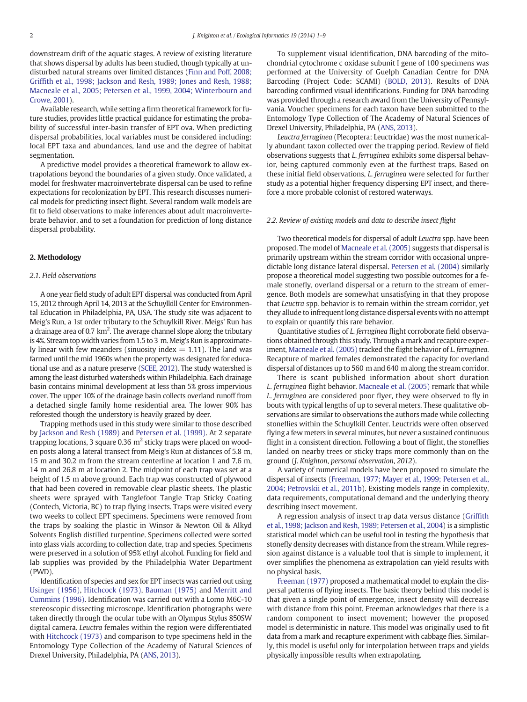downstream drift of the aquatic stages. A review of existing literature that shows dispersal by adults has been studied, though typically at undisturbed natural streams over limited distances ([Finn and Poff, 2008;](#page-7-0) Griffi[th et al., 1998; Jackson and Resh, 1989; Jones and Resh, 1988;](#page-7-0) [Macneale et al., 2005; Petersen et al., 1999, 2004; Winterbourn and](#page-7-0) [Crowe, 2001](#page-7-0)).

Available research, while setting a firm theoretical framework for future studies, provides little practical guidance for estimating the probability of successful inter-basin transfer of EPT ova. When predicting dispersal probabilities, local variables must be considered including: local EPT taxa and abundances, land use and the degree of habitat segmentation.

A predictive model provides a theoretical framework to allow extrapolations beyond the boundaries of a given study. Once validated, a model for freshwater macroinvertebrate dispersal can be used to refine expectations for recolonization by EPT. This research discusses numerical models for predicting insect flight. Several random walk models are fit to field observations to make inferences about adult macroinvertebrate behavior, and to set a foundation for prediction of long distance dispersal probability.

# 2. Methodology

# 2.1. Field observations

A one year field study of adult EPT dispersal was conducted from April 15, 2012 through April 14, 2013 at the Schuylkill Center for Environmental Education in Philadelphia, PA, USA. The study site was adjacent to Meig's Run, a 1st order tributary to the Schuylkill River. Meigs' Run has a drainage area of 0.7  $km^2$ . The average channel slope along the tributary is 4%. Stream top width varies from 1.5 to 3 m. Meig's Run is approximately linear with few meanders (sinuosity index  $= 1.11$ ). The land was farmed until the mid 1960s when the property was designated for educational use and as a nature preserve [\(SCEE, 2012\)](#page-8-0). The study watershed is among the least disturbed watersheds within Philadelphia. Each drainage basin contains minimal development at less than 5% gross impervious cover. The upper 10% of the drainage basin collects overland runoff from a detached single family home residential area. The lower 90% has reforested though the understory is heavily grazed by deer.

Trapping methods used in this study were similar to those described by [Jackson and Resh \(1989\)](#page-7-0) and [Petersen et al. \(1999\).](#page-8-0) At 2 separate trapping locations, 3 square 0.36  $m<sup>2</sup>$  sticky traps were placed on wooden posts along a lateral transect from Meig's Run at distances of 5.8 m, 15 m and 30.2 m from the stream centerline at location 1 and 7.6 m, 14 m and 26.8 m at location 2. The midpoint of each trap was set at a height of 1.5 m above ground. Each trap was constructed of plywood that had been covered in removable clear plastic sheets. The plastic sheets were sprayed with Tanglefoot Tangle Trap Sticky Coating (Contech, Victoria, BC) to trap flying insects. Traps were visited every two weeks to collect EPT specimens. Specimens were removed from the traps by soaking the plastic in Winsor & Newton Oil & Alkyd Solvents English distilled turpentine. Specimens collected were sorted into glass vials according to collection date, trap and species. Specimens were preserved in a solution of 95% ethyl alcohol. Funding for field and lab supplies was provided by the Philadelphia Water Department (PWD).

Identification of species and sex for EPT insects was carried out using [Usinger \(1956\)](#page-8-0), [Hitchcock \(1973\),](#page-7-0) [Bauman \(1975\)](#page-7-0) and [Merritt and](#page-8-0) [Cummins \(1996\).](#page-8-0) Identification was carried out with a Lomo M6C-10 stereoscopic dissecting microscope. Identification photographs were taken directly through the ocular tube with an Olympus Stylus 850SW digital camera. Leuctra females within the region were differentiated with [Hitchcock \(1973\)](#page-7-0) and comparison to type specimens held in the Entomology Type Collection of the Academy of Natural Sciences of Drexel University, Philadelphia, PA [\(ANS, 2013\)](#page-7-0).

To supplement visual identification, DNA barcoding of the mitochondrial cytochrome c oxidase subunit I gene of 100 specimens was performed at the University of Guelph Canadian Centre for DNA Barcoding (Project Code: SCAMI) ([BOLD, 2013](#page-7-0)). Results of DNA barcoding confirmed visual identifications. Funding for DNA barcoding was provided through a research award from the University of Pennsylvania. Voucher specimens for each taxon have been submitted to the Entomology Type Collection of The Academy of Natural Sciences of Drexel University, Philadelphia, PA [\(ANS, 2013\)](#page-7-0).

Leuctra ferruginea (Plecoptera: Leuctridae) was the most numerically abundant taxon collected over the trapping period. Review of field observations suggests that L. ferruginea exhibits some dispersal behavior, being captured commonly even at the furthest traps. Based on these initial field observations, L. ferruginea were selected for further study as a potential higher frequency dispersing EPT insect, and therefore a more probable colonist of restored waterways.

### 2.2. Review of existing models and data to describe insect flight

Two theoretical models for dispersal of adult Leuctra spp. have been proposed. The model of [Macneale et al. \(2005\)](#page-7-0) suggests that dispersal is primarily upstream within the stream corridor with occasional unpredictable long distance lateral dispersal. [Petersen et al. \(2004\)](#page-8-0) similarly propose a theoretical model suggesting two possible outcomes for a female stonefly, overland dispersal or a return to the stream of emergence. Both models are somewhat unsatisfying in that they propose that Leuctra spp. behavior is to remain within the stream corridor, yet they allude to infrequent long distance dispersal events with no attempt to explain or quantify this rare behavior.

Quantitative studies of L. ferruginea flight corroborate field observations obtained through this study. Through a mark and recapture experiment, [Macneale et al. \(2005\)](#page-7-0) tracked the flight behavior of L. ferruginea. Recapture of marked females demonstrated the capacity for overland dispersal of distances up to 560 m and 640 m along the stream corridor.

There is scant published information about short duration L. ferruginea flight behavior. [Macneale et al. \(2005\)](#page-7-0) remark that while L. ferruginea are considered poor flyer, they were observed to fly in bouts with typical lengths of up to several meters. These qualitative observations are similar to observations the authors made while collecting stoneflies within the Schuylkill Center. Leuctrids were often observed flying a few meters in several minutes, but never a sustained continuous flight in a consistent direction. Following a bout of flight, the stoneflies landed on nearby trees or sticky traps more commonly than on the ground (J. Knighton, personal observation, 2012).

A variety of numerical models have been proposed to simulate the dispersal of insects ([Freeman, 1977; Mayer et al., 1999; Petersen et al.,](#page-7-0) [2004; Petrovskii et al., 2011b\)](#page-7-0). Existing models range in complexity, data requirements, computational demand and the underlying theory describing insect movement.

A regression analysis of insect trap data versus distance [\(Grif](#page-7-0)fith [et al., 1998; Jackson and Resh, 1989; Petersen et al., 2004](#page-7-0)) is a simplistic statistical model which can be useful tool in testing the hypothesis that stonefly density decreases with distance from the stream. While regression against distance is a valuable tool that is simple to implement, it over simplifies the phenomena as extrapolation can yield results with no physical basis.

[Freeman \(1977\)](#page-7-0) proposed a mathematical model to explain the dispersal patterns of flying insects. The basic theory behind this model is that given a single point of emergence, insect density will decrease with distance from this point. Freeman acknowledges that there is a random component to insect movement; however the proposed model is deterministic in nature. This model was originally used to fit data from a mark and recapture experiment with cabbage flies. Similarly, this model is useful only for interpolation between traps and yields physically impossible results when extrapolating.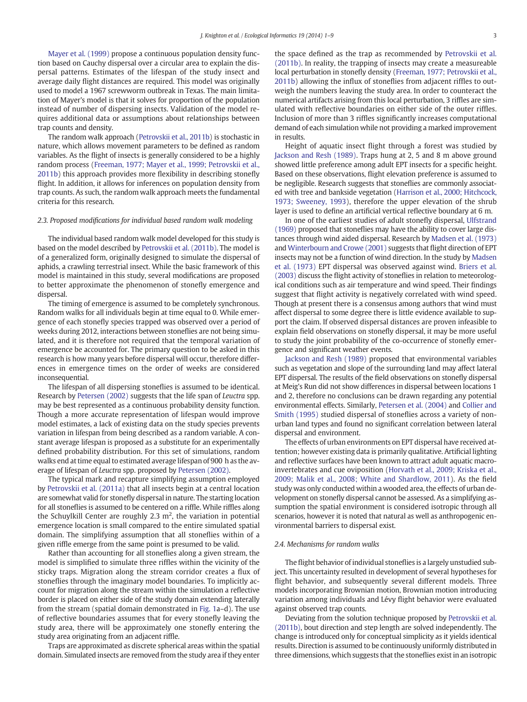[Mayer et al. \(1999\)](#page-8-0) propose a continuous population density function based on Cauchy dispersal over a circular area to explain the dispersal patterns. Estimates of the lifespan of the study insect and average daily flight distances are required. This model was originally used to model a 1967 screwworm outbreak in Texas. The main limitation of Mayer's model is that it solves for proportion of the population instead of number of dispersing insects. Validation of the model requires additional data or assumptions about relationships between trap counts and density.

The random walk approach [\(Petrovskii et al., 2011b\)](#page-8-0) is stochastic in nature, which allows movement parameters to be defined as random variables. As the flight of insects is generally considered to be a highly random process ([Freeman, 1977; Mayer et al., 1999; Petrovskii et al.,](#page-7-0) [2011b](#page-7-0)) this approach provides more flexibility in describing stonefly flight. In addition, it allows for inferences on population density from trap counts. As such, the random walk approach meets the fundamental criteria for this research.

# 2.3. Proposed modifications for individual based random walk modeling

The individual based random walk model developed for this study is based on the model described by [Petrovskii et al. \(2011b\).](#page-8-0) The model is of a generalized form, originally designed to simulate the dispersal of aphids, a crawling terrestrial insect. While the basic framework of this model is maintained in this study, several modifications are proposed to better approximate the phenomenon of stonefly emergence and dispersal.

The timing of emergence is assumed to be completely synchronous. Random walks for all individuals begin at time equal to 0. While emergence of each stonefly species trapped was observed over a period of weeks during 2012, interactions between stoneflies are not being simulated, and it is therefore not required that the temporal variation of emergence be accounted for. The primary question to be asked in this research is how many years before dispersal will occur, therefore differences in emergence times on the order of weeks are considered inconsequential.

The lifespan of all dispersing stoneflies is assumed to be identical. Research by [Petersen \(2002\)](#page-8-0) suggests that the life span of Leuctra spp. may be best represented as a continuous probability density function. Though a more accurate representation of lifespan would improve model estimates, a lack of existing data on the study species prevents variation in lifespan from being described as a random variable. A constant average lifespan is proposed as a substitute for an experimentally defined probability distribution. For this set of simulations, random walks end at time equal to estimated average lifespan of 900 h as the average of lifespan of Leuctra spp. proposed by [Petersen \(2002\).](#page-8-0)

The typical mark and recapture simplifying assumption employed by [Petrovskii et al. \(2011a\)](#page-8-0) that all insects begin at a central location are somewhat valid for stonefly dispersal in nature. The starting location for all stoneflies is assumed to be centered on a riffle. While riffles along the Schuylkill Center are roughly 2.3  $m^2$ , the variation in potential emergence location is small compared to the entire simulated spatial domain. The simplifying assumption that all stoneflies within of a given riffle emerge from the same point is presumed to be valid.

Rather than accounting for all stoneflies along a given stream, the model is simplified to simulate three riffles within the vicinity of the sticky traps. Migration along the stream corridor creates a flux of stoneflies through the imaginary model boundaries. To implicitly account for migration along the stream within the simulation a reflective border is placed on either side of the study domain extending laterally from the stream (spatial domain demonstrated in [Fig. 1a](#page-3-0)–d). The use of reflective boundaries assumes that for every stonefly leaving the study area, there will be approximately one stonefly entering the study area originating from an adjacent riffle.

Traps are approximated as discrete spherical areas within the spatial domain. Simulated insects are removed from the study area if they enter the space defined as the trap as recommended by [Petrovskii et al.](#page-8-0) [\(2011b\)](#page-8-0). In reality, the trapping of insects may create a measureable local perturbation in stonefly density ([Freeman, 1977; Petrovskii et al.,](#page-7-0) [2011b\)](#page-7-0) allowing the influx of stoneflies from adjacent riffles to outweigh the numbers leaving the study area. In order to counteract the numerical artifacts arising from this local perturbation, 3 riffles are simulated with reflective boundaries on either side of the outer riffles. Inclusion of more than 3 riffles significantly increases computational demand of each simulation while not providing a marked improvement in results.

Height of aquatic insect flight through a forest was studied by [Jackson and Resh \(1989\).](#page-7-0) Traps hung at 2, 5 and 8 m above ground showed little preference among adult EPT insects for a specific height. Based on these observations, flight elevation preference is assumed to be negligible. Research suggests that stoneflies are commonly associated with tree and bankside vegetation [\(Harrison et al., 2000; Hitchcock,](#page-7-0) [1973; Sweeney, 1993](#page-7-0)), therefore the upper elevation of the shrub layer is used to define an artificial vertical reflective boundary at 6 m.

In one of the earliest studies of adult stonefly dispersal, [Ulfstrand](#page-8-0) [\(1969\)](#page-8-0) proposed that stoneflies may have the ability to cover large distances through wind aided dispersal. Research by [Madsen et al. \(1973\)](#page-7-0) and [Winterbourn and Crowe \(2001\)](#page-8-0) suggests that flight direction of EPT insects may not be a function of wind direction. In the study by [Madsen](#page-7-0) [et al. \(1973\)](#page-7-0) EPT dispersal was observed against wind. [Briers et al.](#page-7-0) [\(2003\)](#page-7-0) discuss the flight activity of stoneflies in relation to meteorological conditions such as air temperature and wind speed. Their findings suggest that flight activity is negatively correlated with wind speed. Though at present there is a consensus among authors that wind must affect dispersal to some degree there is little evidence available to support the claim. If observed dispersal distances are proven infeasible to explain field observations on stonefly dispersal, it may be more useful to study the joint probability of the co-occurrence of stonefly emergence and significant weather events.

[Jackson and Resh \(1989\)](#page-7-0) proposed that environmental variables such as vegetation and slope of the surrounding land may affect lateral EPT dispersal. The results of the field observations on stonefly dispersal at Meig's Run did not show differences in dispersal between locations 1 and 2, therefore no conclusions can be drawn regarding any potential environmental effects. Similarly, [Petersen et al. \(2004\)](#page-8-0) and [Collier and](#page-7-0) [Smith \(1995\)](#page-7-0) studied dispersal of stoneflies across a variety of nonurban land types and found no significant correlation between lateral dispersal and environment.

The effects of urban environments on EPT dispersal have received attention; however existing data is primarily qualitative. Artificial lighting and reflective surfaces have been known to attract adult aquatic macroinvertebrates and cue oviposition [\(Horvath et al., 2009; Kriska et al.,](#page-7-0) [2009; Malik et al., 2008; White and Shardlow, 2011](#page-7-0)). As the field study was only conducted within a wooded area, the effects of urban development on stonefly dispersal cannot be assessed. As a simplifying assumption the spatial environment is considered isotropic through all scenarios, however it is noted that natural as well as anthropogenic environmental barriers to dispersal exist.

#### 2.4. Mechanisms for random walks

The flight behavior of individual stoneflies is a largely unstudied subject. This uncertainty resulted in development of several hypotheses for flight behavior, and subsequently several different models. Three models incorporating Brownian motion, Brownian motion introducing variation among individuals and Lévy flight behavior were evaluated against observed trap counts.

Deviating from the solution technique proposed by [Petrovskii et al.](#page-8-0) [\(2011b\),](#page-8-0) bout direction and step length are solved independently. The change is introduced only for conceptual simplicity as it yields identical results. Direction is assumed to be continuously uniformly distributed in three dimensions, which suggests that the stoneflies exist in an isotropic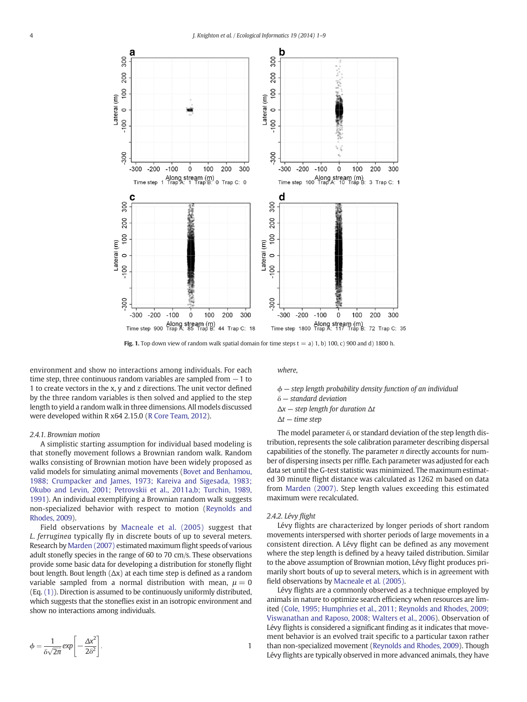<span id="page-3-0"></span>

Fig. 1. Top down view of random walk spatial domain for time steps  $t = a$ ) 1, b) 100, c) 900 and d) 1800 h.

environment and show no interactions among individuals. For each time step, three continuous random variables are sampled from  $-1$  to 1 to create vectors in the x, y and z directions. The unit vector defined by the three random variables is then solved and applied to the step length to yield a random walk in three dimensions. All models discussed were developed within R x64 2.15.0 [\(R Core Team, 2012\)](#page-8-0).

### 2.4.1. Brownian motion

A simplistic starting assumption for individual based modeling is that stonefly movement follows a Brownian random walk. Random walks consisting of Brownian motion have been widely proposed as valid models for simulating animal movements [\(Bovet and Benhamou,](#page-7-0) [1988; Crumpacker and James, 1973; Kareiva and Sigesada, 1983;](#page-7-0) [Okubo and Levin, 2001; Petrovskii et al., 2011a,b; Turchin, 1989,](#page-7-0) [1991\)](#page-7-0). An individual exemplifying a Brownian random walk suggests non-specialized behavior with respect to motion ([Reynolds and](#page-8-0) [Rhodes, 2009](#page-8-0)).

Field observations by [Macneale et al. \(2005\)](#page-7-0) suggest that L. ferruginea typically fly in discrete bouts of up to several meters. Research by [Marden \(2007\)](#page-8-0) estimated maximum flight speeds of various adult stonefly species in the range of 60 to 70 cm/s. These observations provide some basic data for developing a distribution for stonefly flight bout length. Bout length (Δx) at each time step is defined as a random variable sampled from a normal distribution with mean,  $\mu = 0$ (Eq. (1)). Direction is assumed to be continuously uniformly distributed, which suggests that the stoneflies exist in an isotropic environment and show no interactions among individuals.

$$
\phi = \frac{1}{\delta \sqrt{2\pi}} \exp\left[-\frac{\Delta x^2}{2\delta^2}\right].
$$

where,

 $\phi$  – step length probability density function of an individual δ — standard deviation Δx — step length for duration Δt

 $\Delta t$  – time step

The model parameter  $\delta$ , or standard deviation of the step length distribution, represents the sole calibration parameter describing dispersal capabilities of the stonefly. The parameter  $n$  directly accounts for number of dispersing insects per riffle. Each parameter was adjusted for each data set until the G-test statistic was minimized. The maximum estimated 30 minute flight distance was calculated as 1262 m based on data from [Marden \(2007\)](#page-8-0). Step length values exceeding this estimated maximum were recalculated.

# 2.4.2. Lévy flight

Lévy flights are characterized by longer periods of short random movements interspersed with shorter periods of large movements in a consistent direction. A Lévy flight can be defined as any movement where the step length is defined by a heavy tailed distribution. Similar to the above assumption of Brownian motion, Lévy flight produces primarily short bouts of up to several meters, which is in agreement with field observations by [Macneale et al. \(2005\)](#page-7-0).

Lévy flights are a commonly observed as a technique employed by animals in nature to optimize search efficiency when resources are limited [\(Cole, 1995; Humphries et al., 2011; Reynolds and Rhodes, 2009;](#page-7-0) [Viswanathan and Raposo, 2008; Walters et al., 2006\)](#page-7-0). Observation of Lévy flights is considered a significant finding as it indicates that movement behavior is an evolved trait specific to a particular taxon rather than non-specialized movement ([Reynolds and Rhodes, 2009\)](#page-8-0). Though Lévy flights are typically observed in more advanced animals, they have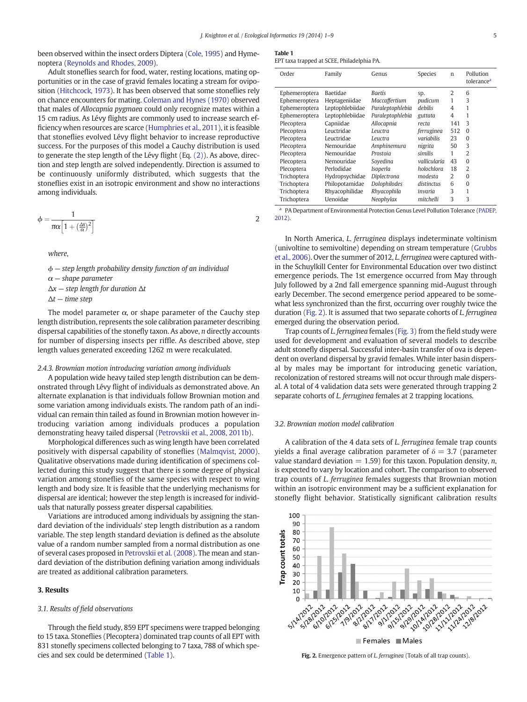<span id="page-4-0"></span>been observed within the insect orders Diptera [\(Cole, 1995\)](#page-7-0) and Hymenoptera ([Reynolds and Rhodes, 2009](#page-8-0)).

# Adult stoneflies search for food, water, resting locations, mating opportunities or in the case of gravid females locating a stream for oviposition ([Hitchcock, 1973](#page-7-0)). It has been observed that some stoneflies rely on chance encounters for mating. [Coleman and Hynes \(1970\)](#page-7-0) observed that males of Allocapnia pygmaea could only recognize mates within a 15 cm radius. As Lévy flights are commonly used to increase search efficiency when resources are scarce ([Humphries et al., 2011](#page-7-0)), it is feasible that stoneflies evolved Lévy flight behavior to increase reproductive success. For the purposes of this model a Cauchy distribution is used to generate the step length of the Lévy flight (Eq. (2)). As above, direction and step length are solved independently. Direction is assumed to be continuously uniformly distributed, which suggests that the stoneflies exist in an isotropic environment and show no interactions among individuals.

$$
\phi = \frac{1}{\pi \alpha \left[1 + \left(\frac{\Delta x}{\alpha}\right)^2\right]}
$$
 2

where,

 $\phi$  – step length probability density function of an individual  $\alpha$  – shape parameter

Δx — step length for duration Δt

 $\Delta t$  – time step

The model parameter  $\alpha$ , or shape parameter of the Cauchy step length distribution, represents the sole calibration parameter describing dispersal capabilities of the stonefly taxon. As above, n directly accounts for number of dispersing insects per riffle. As described above, step length values generated exceeding 1262 m were recalculated.

# 2.4.3. Brownian motion introducing variation among individuals

A population wide heavy tailed step length distribution can be demonstrated through Lévy flight of individuals as demonstrated above. An alternate explanation is that individuals follow Brownian motion and some variation among individuals exists. The random path of an individual can remain thin tailed as found in Brownian motion however introducing variation among individuals produces a population demonstrating heavy tailed dispersal [\(Petrovskii et al., 2008, 2011b](#page-8-0)).

Morphological differences such as wing length have been correlated positively with dispersal capability of stoneflies ([Malmqvist, 2000](#page-7-0)). Qualitative observations made during identification of specimens collected during this study suggest that there is some degree of physical variation among stoneflies of the same species with respect to wing length and body size. It is feasible that the underlying mechanisms for dispersal are identical; however the step length is increased for individuals that naturally possess greater dispersal capabilities.

Variations are introduced among individuals by assigning the standard deviation of the individuals' step length distribution as a random variable. The step length standard deviation is defined as the absolute value of a random number sampled from a normal distribution as one of several cases proposed in [Petrovskii et al. \(2008\).](#page-8-0) The mean and standard deviation of the distribution defining variation among individuals are treated as additional calibration parameters.

# 3. Results

# 3.1. Results of field observations

Through the field study, 859 EPT specimens were trapped belonging to 15 taxa. Stoneflies (Plecoptera) dominated trap counts of all EPT with 831 stonefly specimens collected belonging to 7 taxa, 788 of which species and sex could be determined (Table 1).

| Table 1             |  |
|---------------------|--|
| EDT tava trapped at |  |

EPT taxa trapped at SCEE, Philadelphia PA.

| Order         | Family          | Genus            | Species      | n              | Pollution<br>tolerance <sup>a</sup> |
|---------------|-----------------|------------------|--------------|----------------|-------------------------------------|
| Ephemeroptera | Baetidae        | <b>Baetis</b>    | sp.          | 2              | 6                                   |
| Ephemeroptera | Heptageniidae   | Maccaffertium    | pudicum      | 1              | 3                                   |
| Ephemeroptera | Leptophlebiidae | Paraleptophlebia | debilis      | 4              | 1                                   |
| Ephemeroptera | Leptophlebiidae | Paraleptophlebia | guttata      | 4              | 1                                   |
| Plecoptera    | Capniidae       | Allocapnia       | recta        | 141            | 3                                   |
| Plecoptera    | Leuctridae      | Leuctra          | ferruginea   | 512            | $\Omega$                            |
| Plecoptera    | Leuctridae      | Leuctra          | variabilis   | 23             | $\Omega$                            |
| Plecoptera    | Nemouridae      | Amphinemura      | nigrita      | 50             | 3                                   |
| Plecoptera    | Nemouridae      | Prostoia         | similis      | 1              | $\mathfrak{D}$                      |
| Plecoptera    | Nemouridae      | Sovedina         | vallicularia | 43             | $\Omega$                            |
| Plecoptera    | Perlodidae      | Isoperla         | holochlora   | 18             | 2                                   |
| Trichoptera   | Hydropsychidae  | Diplectrona      | modesta      | $\overline{2}$ | $\Omega$                            |
| Trichoptera   | Philopotamidae  | Dolophilodes     | distinctus   | 6              | $\Omega$                            |
| Trichoptera   | Rhyacophilidae  | Rhyacophila      | invaria      | 3              | 1                                   |
| Trichoptera   | Uenoidae        | Neophylax        | mitchelli    | 3              | 3                                   |

<sup>a</sup> PA Department of Environmental Protection Genus Level Pollution Tolerance [\(PADEP,](#page-8-0) [2012\)](#page-8-0).

In North America, L. ferruginea displays indeterminate voltinism (univoltine to semivoltine) depending on stream temperature [\(Grubbs](#page-7-0) [et al., 2006\)](#page-7-0). Over the summer of 2012, L. ferruginea were captured within the Schuylkill Center for Environmental Education over two distinct emergence periods. The 1st emergence occurred from May through July followed by a 2nd fall emergence spanning mid-August through early December. The second emergence period appeared to be somewhat less synchronized than the first, occurring over roughly twice the duration (Fig. 2). It is assumed that two separate cohorts of L. ferruginea emerged during the observation period.

Trap counts of L. ferruginea females ([Fig. 3\)](#page-5-0) from the field study were used for development and evaluation of several models to describe adult stonefly dispersal. Successful inter-basin transfer of ova is dependent on overland dispersal by gravid females. While inter basin dispersal by males may be important for introducing genetic variation, recolonization of restored streams will not occur through male dispersal. A total of 4 validation data sets were generated through trapping 2 separate cohorts of L. ferruginea females at 2 trapping locations.

### 3.2. Brownian motion model calibration

A calibration of the 4 data sets of L. ferruginea female trap counts yields a final average calibration parameter of  $\delta = 3.7$  (parameter value standard deviation  $= 1.59$ ) for this taxon. Population density, *n*, is expected to vary by location and cohort. The comparison to observed trap counts of L. ferruginea females suggests that Brownian motion within an isotropic environment may be a sufficient explanation for stonefly flight behavior. Statistically significant calibration results



Fig. 2. Emergence pattern of *L. ferruginea* (Totals of all trap counts).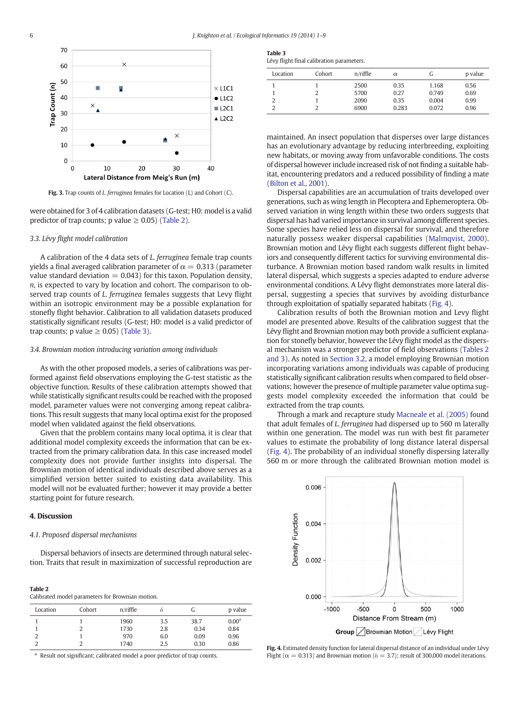<span id="page-5-0"></span>

Fig. 3. Trap counts of *L. ferruginea* females for Location (L) and Cohort (C).

were obtained for 3 of 4 calibration datasets (G-test; H0: model is a valid predictor of trap counts; p value  $\geq$  0.05) (Table 2).

# 3.3. Lévy flight model calibration

A calibration of the 4 data sets of L. ferruginea female trap counts yields a final averaged calibration parameter of  $\alpha = 0.313$  (parameter value standard deviation  $= 0.043$ ) for this taxon. Population density, n, is expected to vary by location and cohort. The comparison to observed trap counts of L. ferruginea females suggests that Levy flight within an isotropic environment may be a possible explanation for stonefly flight behavior. Calibration to all validation datasets produced statistically significant results (G-test; H0: model is a valid predictor of trap counts; p value  $\geq$  0.05) (Table 3).

#### 3.4. Brownian motion introducing variation among individuals

As with the other proposed models, a series of calibrations was performed against field observations employing the G-test statistic as the objective function. Results of these calibration attempts showed that while statistically significant results could be reached with the proposed model, parameter values were not converging among repeat calibrations. This result suggests that many local optima exist for the proposed model when validated against the field observations.

Given that the problem contains many local optima, it is clear that additional model complexity exceeds the information that can be extracted from the primary calibration data. In this case increased model complexity does not provide further insights into dispersal. The Brownian motion of identical individuals described above serves as a simplified version better suited to existing data availability. This model will not be evaluated further; however it may provide a better starting point for future research.

# 4. Discussion

#### 4.1. Proposed dispersal mechanisms

Dispersal behaviors of insects are determined through natural selection. Traits that result in maximization of successful reproduction are

Table 2

Calibrated model parameters for Brownian motion.

| Location | Cohort | $n$ /riffle |     | G    | p value           |
|----------|--------|-------------|-----|------|-------------------|
|          |        | 1960        | 3.5 | 38.7 | 0.00 <sup>a</sup> |
|          |        | 1730        | 2.8 | 0.34 | 0.84              |
|          |        | 970         | 6.0 | 0.09 | 0.96              |
| ∠        |        | 1740        | 2.5 | 0.30 | 0.86              |

<sup>a</sup> Result not significant; calibrated model a poor predictor of trap counts.

Table 3

| Lévy flight final calibration parameters. |  |  |
|-------------------------------------------|--|--|
|-------------------------------------------|--|--|

| Location | Cohort | $n$ /riffle | $\alpha$ | G     | p value |
|----------|--------|-------------|----------|-------|---------|
|          |        | 2500        | 0.35     | 1.168 | 0.56    |
|          |        | 5700        | 0.27     | 0.749 | 0.69    |
|          |        | 2090        | 0.35     | 0.004 | 0.99    |
|          |        | 6900        | 0.283    | 0.072 | 0.96    |

maintained. An insect population that disperses over large distances has an evolutionary advantage by reducing interbreeding, exploiting new habitats, or moving away from unfavorable conditions. The costs of dispersal however include increased risk of not finding a suitable habitat, encountering predators and a reduced possibility of finding a mate [\(Bilton et al., 2001\)](#page-7-0).

Dispersal capabilities are an accumulation of traits developed over generations, such as wing length in Plecoptera and Ephemeroptera. Observed variation in wing length within these two orders suggests that dispersal has had varied importance in survival among different species. Some species have relied less on dispersal for survival, and therefore naturally possess weaker dispersal capabilities ([Malmqvist, 2000](#page-7-0)). Brownian motion and Lévy flight each suggests different flight behaviors and consequently different tactics for surviving environmental disturbance. A Brownian motion based random walk results in limited lateral dispersal, which suggests a species adapted to endure adverse environmental conditions. A Lévy flight demonstrates more lateral dispersal, suggesting a species that survives by avoiding disturbance through exploitation of spatially separated habitats (Fig. 4).

Calibration results of both the Brownian motion and Levy flight model are presented above. Results of the calibration suggest that the Lévy flight and Brownian motion may both provide a sufficient explanation for stonefly behavior, however the Lévy flight model as the dispersal mechanism was a stronger predictor of field observations (Tables 2 and 3). As noted in [Section 3.2,](#page-4-0) a model employing Brownian motion incorporating variations among individuals was capable of producing statistically significant calibration results when compared to field observations; however the presence of multiple parameter value optima suggests model complexity exceeded the information that could be extracted from the trap counts.

Through a mark and recapture study [Macneale et al. \(2005\)](#page-7-0) found that adult females of L. ferruginea had dispersed up to 560 m laterally within one generation. The model was run with best fit parameter values to estimate the probability of long distance lateral dispersal (Fig. 4). The probability of an individual stonefly dispersing laterally 560 m or more through the calibrated Brownian motion model is



Fig. 4. Estimated density function for lateral dispersal distance of an individual under Lévy Flight ( $\alpha = 0.313$ ) and Brownian motion ( $\delta = 3.7$ ); result of 300,000 model iterations.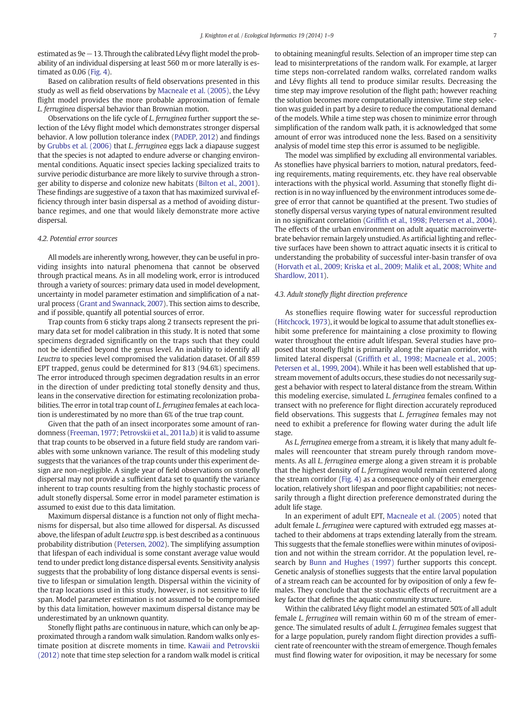estimated as 9e−13. Through the calibrated Lévy flight model the probability of an individual dispersing at least 560 m or more laterally is estimated as 0.06 [\(Fig. 4](#page-5-0)).

Based on calibration results of field observations presented in this study as well as field observations by [Macneale et al. \(2005\)](#page-7-0), the Lévy flight model provides the more probable approximation of female L. ferruginea dispersal behavior than Brownian motion.

Observations on the life cycle of L. ferruginea further support the selection of the Lévy flight model which demonstrates stronger dispersal behavior. A low pollution tolerance index [\(PADEP, 2012](#page-8-0)) and findings by [Grubbs et al. \(2006\)](#page-7-0) that L. ferruginea eggs lack a diapause suggest that the species is not adapted to endure adverse or changing environmental conditions. Aquatic insect species lacking specialized traits to survive periodic disturbance are more likely to survive through a stronger ability to disperse and colonize new habitats ([Bilton et al., 2001](#page-7-0)). These findings are suggestive of a taxon that has maximized survival efficiency through inter basin dispersal as a method of avoiding disturbance regimes, and one that would likely demonstrate more active dispersal.

# 4.2. Potential error sources

All models are inherently wrong, however, they can be useful in providing insights into natural phenomena that cannot be observed through practical means. As in all modeling work, error is introduced through a variety of sources: primary data used in model development, uncertainty in model parameter estimation and simplification of a natural process [\(Grant and Swannack, 2007](#page-7-0)). This section aims to describe, and if possible, quantify all potential sources of error.

Trap counts from 6 sticky traps along 2 transects represent the primary data set for model calibration in this study. It is noted that some specimens degraded significantly on the traps such that they could not be identified beyond the genus level. An inability to identify all Leuctra to species level compromised the validation dataset. Of all 859 EPT trapped, genus could be determined for 813 (94.6%) specimens. The error introduced through specimen degradation results in an error in the direction of under predicting total stonefly density and thus, leans in the conservative direction for estimating recolonization probabilities. The error in total trap count of L. ferruginea females at each location is underestimated by no more than 6% of the true trap count.

Given that the path of an insect incorporates some amount of randomness [\(Freeman, 1977; Petrovskii et al., 2011a,b](#page-7-0)) it is valid to assume that trap counts to be observed in a future field study are random variables with some unknown variance. The result of this modeling study suggests that the variances of the trap counts under this experiment design are non-negligible. A single year of field observations on stonefly dispersal may not provide a sufficient data set to quantify the variance inherent to trap counts resulting from the highly stochastic process of adult stonefly dispersal. Some error in model parameter estimation is assumed to exist due to this data limitation.

Maximum dispersal distance is a function not only of flight mechanisms for dispersal, but also time allowed for dispersal. As discussed above, the lifespan of adult Leuctra spp. is best described as a continuous probability distribution [\(Petersen, 2002\)](#page-8-0). The simplifying assumption that lifespan of each individual is some constant average value would tend to under predict long distance dispersal events. Sensitivity analysis suggests that the probability of long distance dispersal events is sensitive to lifespan or simulation length. Dispersal within the vicinity of the trap locations used in this study, however, is not sensitive to life span. Model parameter estimation is not assumed to be compromised by this data limitation, however maximum dispersal distance may be underestimated by an unknown quantity.

Stonefly flight paths are continuous in nature, which can only be approximated through a random walk simulation. Random walks only estimate position at discrete moments in time. [Kawaii and Petrovskii](#page-7-0) [\(2012\)](#page-7-0) note that time step selection for a random walk model is critical to obtaining meaningful results. Selection of an improper time step can lead to misinterpretations of the random walk. For example, at larger time steps non-correlated random walks, correlated random walks and Lévy flights all tend to produce similar results. Decreasing the time step may improve resolution of the flight path; however reaching the solution becomes more computationally intensive. Time step selection was guided in part by a desire to reduce the computational demand of the models. While a time step was chosen to minimize error through simplification of the random walk path, it is acknowledged that some amount of error was introduced none the less. Based on a sensitivity analysis of model time step this error is assumed to be negligible.

The model was simplified by excluding all environmental variables. As stoneflies have physical barriers to motion, natural predators, feeding requirements, mating requirements, etc. they have real observable interactions with the physical world. Assuming that stonefly flight direction is in no way influenced by the environment introduces some degree of error that cannot be quantified at the present. Two studies of stonefly dispersal versus varying types of natural environment resulted in no significant correlation (Griffi[th et al., 1998; Petersen et al., 2004](#page-7-0)). The effects of the urban environment on adult aquatic macroinvertebrate behavior remain largely unstudied. As artificial lighting and reflective surfaces have been shown to attract aquatic insects it is critical to understanding the probability of successful inter-basin transfer of ova [\(Horvath et al., 2009; Kriska et al., 2009; Malik et al., 2008; White and](#page-7-0) [Shardlow, 2011\)](#page-7-0).

# 4.3. Adult stonefly flight direction preference

As stoneflies require flowing water for successful reproduction [\(Hitchcock, 1973](#page-7-0)), it would be logical to assume that adult stoneflies exhibit some preference for maintaining a close proximity to flowing water throughout the entire adult lifespan. Several studies have proposed that stonefly flight is primarily along the riparian corridor, with limited lateral dispersal (Griffi[th et al., 1998; Macneale et al., 2005;](#page-7-0) [Petersen et al., 1999, 2004\)](#page-7-0). While it has been well established that upstream movement of adults occurs, these studies do not necessarily suggest a behavior with respect to lateral distance from the stream. Within this modeling exercise, simulated L. ferruginea females confined to a transect with no preference for flight direction accurately reproduced field observations. This suggests that L. ferruginea females may not need to exhibit a preference for flowing water during the adult life stage.

As L. ferruginea emerge from a stream, it is likely that many adult females will reencounter that stream purely through random movements. As all L. ferruginea emerge along a given stream it is probable that the highest density of L. ferruginea would remain centered along the stream corridor [\(Fig. 4](#page-5-0)) as a consequence only of their emergence location, relatively short lifespan and poor flight capabilities; not necessarily through a flight direction preference demonstrated during the adult life stage.

In an experiment of adult EPT, [Macneale et al. \(2005\)](#page-7-0) noted that adult female L. ferruginea were captured with extruded egg masses attached to their abdomens at traps extending laterally from the stream. This suggests that the female stoneflies were within minutes of oviposition and not within the stream corridor. At the population level, research by [Bunn and Hughes \(1997\)](#page-7-0) further supports this concept. Genetic analysis of stoneflies suggests that the entire larval population of a stream reach can be accounted for by oviposition of only a few females. They conclude that the stochastic effects of recruitment are a key factor that defines the aquatic community structure.

Within the calibrated Lévy flight model an estimated 50% of all adult female L. ferruginea will remain within 60 m of the stream of emergence. The simulated results of adult L. ferruginea females suggest that for a large population, purely random flight direction provides a sufficient rate of reencounter with the stream of emergence. Though females must find flowing water for oviposition, it may be necessary for some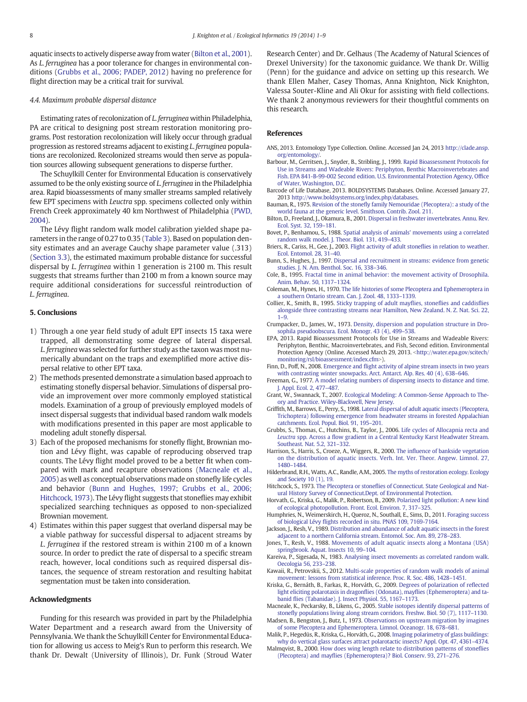<span id="page-7-0"></span>aquatic insects to actively disperse away from water (Bilton et al., 2001). As L. ferruginea has a poor tolerance for changes in environmental conditions (Grubbs et al., 2006; PADEP, 2012) having no preference for flight direction may be a critical trait for survival.

# 4.4. Maximum probable dispersal distance

Estimating rates of recolonization of L. ferruginea within Philadelphia, PA are critical to designing post stream restoration monitoring programs. Post restoration recolonization will likely occur through gradual progression as restored streams adjacent to existing L. ferruginea populations are recolonized. Recolonized streams would then serve as population sources allowing subsequent generations to disperse further.

The Schuylkill Center for Environmental Education is conservatively assumed to be the only existing source of L. ferruginea in the Philadelphia area. Rapid bioassessments of many smaller streams sampled relatively few EPT specimens with Leuctra spp. specimens collected only within French Creek approximately 40 km Northwest of Philadelphia ([PWD,](#page-8-0) [2004](#page-8-0)).

The Lévy flight random walk model calibration yielded shape parameters in the range of 0.27 to 0.35 ([Table 3\)](#page-5-0). Based on population density estimates and an average Cauchy shape parameter value (.313) [\(Section 3.3\)](#page-5-0), the estimated maximum probable distance for successful dispersal by L. ferruginea within 1 generation is 2100 m. This result suggests that streams further than 2100 m from a known source may require additional considerations for successful reintroduction of L. ferruginea.

# 5. Conclusions

- 1) Through a one year field study of adult EPT insects 15 taxa were trapped, all demonstrating some degree of lateral dispersal. L. ferruginea was selected for further study as the taxon was most numerically abundant on the traps and exemplified more active dispersal relative to other EPT taxa.
- 2) The methods presented demonstrate a simulation based approach to estimating stonefly dispersal behavior. Simulations of dispersal provide an improvement over more commonly employed statistical models. Examination of a group of previously employed models of insect dispersal suggests that individual based random walk models with modifications presented in this paper are most applicable to modeling adult stonefly dispersal.
- 3) Each of the proposed mechanisms for stonefly flight, Brownian motion and Lévy flight, was capable of reproducing observed trap counts. The Lévy flight model proved to be a better fit when compared with mark and recapture observations (Macneale et al., 2005) as well as conceptual observations made on stonefly life cycles and behavior (Bunn and Hughes, 1997; Grubbs et al., 2006; Hitchcock, 1973). The Lévy flight suggests that stoneflies may exhibit specialized searching techniques as opposed to non-specialized Brownian movement.
- 4) Estimates within this paper suggest that overland dispersal may be a viable pathway for successful dispersal to adjacent streams by L. ferruginea if the restored stream is within 2100 m of a known source. In order to predict the rate of dispersal to a specific stream reach, however, local conditions such as required dispersal distances, the sequence of stream restoration and resulting habitat segmentation must be taken into consideration.

# Acknowledgments

Funding for this research was provided in part by the Philadelphia Water Department and a research award from the University of Pennsylvania. We thank the Schuylkill Center for Environmental Education for allowing us access to Meig's Run to perform this research. We thank Dr. Dewalt (University of Illinois), Dr. Funk (Stroud Water

Research Center) and Dr. Gelhaus (The Academy of Natural Sciences of Drexel University) for the taxonomic guidance. We thank Dr. Willig (Penn) for the guidance and advice on setting up this research. We thank Ellen Maher, Casey Thomas, Anna Knighton, Nick Knighton, Valessa Souter-Kline and Ali Okur for assisting with field collections. We thank 2 anonymous reviewers for their thoughtful comments on this research.

# References

- ANS, 2013. Entomology Type Collection. Online. Accessed Jan 24, 2013 [http://clade.ansp.](http://clade.ansp.org/entomology/) [org/entomology/](http://clade.ansp.org/entomology/).
- Barbour, M., Gerritsen, J., Snyder, B., Stribling, J., 1999. [Rapid Bioassessment Protocols for](http://refhub.elsevier.com/S1574-9541(13)00113-1/rf0225) [Use in Streams and Wadeable Rivers: Periphyton, Benthic Macroinvertebrates and](http://refhub.elsevier.com/S1574-9541(13)00113-1/rf0225) [Fish. EPA 841-B-99-002 Second edition. U.S. Environmental Protection Agency, Of](http://refhub.elsevier.com/S1574-9541(13)00113-1/rf0225)fice [of Water, Washington, D.C.](http://refhub.elsevier.com/S1574-9541(13)00113-1/rf0225)
- Barcode of Life Database, 2013. BOLDSYSTEMS Databases. Online. Accessed January 27, 2013 [http://www.boldsystems.org/index.php/databases.](http://www.boldsystems.org/index.php/databases)
- Bauman, R., 1975. Revision of the stonefl[y family Nemouridae \(Plecoptera\): a study of the](http://refhub.elsevier.com/S1574-9541(13)00113-1/rf0235) [world fauna at the generic level. Smithson. Contrib. Zool. 211](http://refhub.elsevier.com/S1574-9541(13)00113-1/rf0235).
- Bilton, D., Freeland, J., Okamura, B., 2001. [Dispersal in freshwater invertebrates. Annu. Rev.](http://refhub.elsevier.com/S1574-9541(13)00113-1/rf0010) [Ecol. Syst. 32, 159](http://refhub.elsevier.com/S1574-9541(13)00113-1/rf0010)–181.
- Bovet, P., Benhamou, S., 1988. [Spatial analysis of animals' movements using a correlated](http://refhub.elsevier.com/S1574-9541(13)00113-1/rf0015)
- [random walk model. J. Theor. Biol. 131, 419](http://refhub.elsevier.com/S1574-9541(13)00113-1/rf0015)–433. Briers, R., Cariss, H., Gee, J., 2003. [Flight activity of adult stone](http://refhub.elsevier.com/S1574-9541(13)00113-1/rf0020)flies in relation to weather. [Ecol. Entomol. 28, 31](http://refhub.elsevier.com/S1574-9541(13)00113-1/rf0020)–40.
- Bunn, S., Hughes, J., 1997. [Dispersal and recruitment in streams: evidence from genetic](http://refhub.elsevier.com/S1574-9541(13)00113-1/rf0025) [studies. J. N. Am. Benthol. Soc. 16, 338](http://refhub.elsevier.com/S1574-9541(13)00113-1/rf0025)–346.
- Cole, B., 1995. [Fractal time in animal behavior: the movement activity of Drosophila.](http://refhub.elsevier.com/S1574-9541(13)00113-1/rf0030) [Anim. Behav. 50, 1317](http://refhub.elsevier.com/S1574-9541(13)00113-1/rf0030)–1324.
- Coleman, M., Hynes, H., 1970. [The life histories of some Plecoptera and Ephemeroptera in](http://refhub.elsevier.com/S1574-9541(13)00113-1/rf9000) [a southern Ontario stream. Can. J. Zool. 48, 1333](http://refhub.elsevier.com/S1574-9541(13)00113-1/rf9000)–1339.
- Collier, K., Smith, B., 1995. [Sticky trapping of adult may](http://refhub.elsevier.com/S1574-9541(13)00113-1/rf0035)flies, stoneflies and caddisflies [alongside three contrasting streams near Hamilton, New Zealand. N. Z. Nat. Sci. 22,](http://refhub.elsevier.com/S1574-9541(13)00113-1/rf0035)  $1 - Q$
- Crumpacker, D., James, W., 1973. [Density, dispersion and population structure in Dro](http://refhub.elsevier.com/S1574-9541(13)00113-1/rf0040)[sophila pseudoobscura. Ecol. Monogr. 43 \(4\), 499](http://refhub.elsevier.com/S1574-9541(13)00113-1/rf0040)–538.
- EPA, 2013. Rapid Bioassessment Protocols for Use in Streams and Wadeable Rivers: Periphyton, Benthic, Macroinvertebrates, and Fish, Second edition. Environmental Protection Agency (Online. Accessed March 29, 2013. <[http://water.epa.gov/scitech/](http://water.epa.gov/scitech/monitoring/rsl/bioassessment/index.cfm) [monitoring/rsl/bioassessment/index.cfm](http://water.epa.gov/scitech/monitoring/rsl/bioassessment/index.cfm)>)
- Finn, D., Poff, N., 2008. Emergence and fl[ight activity of alpine stream insects in two years](http://refhub.elsevier.com/S1574-9541(13)00113-1/rf0045) [with contrasting winter snowpacks. Arct. Antarct. Alp. Res. 40 \(4\), 638](http://refhub.elsevier.com/S1574-9541(13)00113-1/rf0045)-646
- Freeman, G., 1977. [A model relating numbers of dispersing insects to distance and time.](http://refhub.elsevier.com/S1574-9541(13)00113-1/rf0050) [J. Appl. Ecol. 2, 477](http://refhub.elsevier.com/S1574-9541(13)00113-1/rf0050)–487.
- Grant, W., Swannack, T., 2007. [Ecological Modeling: A Common-Sense Approach to The](http://refhub.elsevier.com/S1574-9541(13)00113-1/rf0055)[ory and Practice. Wiley-Blackwell, New Jersey](http://refhub.elsevier.com/S1574-9541(13)00113-1/rf0055).
- Griffith, M., Barrows, E., Perry, S., 1998. [Lateral dispersal of adult aquatic insects \(Plecoptera,](http://refhub.elsevier.com/S1574-9541(13)00113-1/rf0060) [Trichoptera\) following emergence from headwater streams in forested Appalachian](http://refhub.elsevier.com/S1574-9541(13)00113-1/rf0060) [catchments. Ecol. Popul. Biol. 91, 195](http://refhub.elsevier.com/S1574-9541(13)00113-1/rf0060)–201.
- Grubbs, S., Thomas, C., Hutchins, B., Taylor, J., 2006. [Life cycles of Allocapnia recta and](http://refhub.elsevier.com/S1574-9541(13)00113-1/rf0065) Leuctra spp. Across a fl[ow gradient in a Central Kentucky Karst Headwater Stream.](http://refhub.elsevier.com/S1574-9541(13)00113-1/rf0065) [Southeast. Nat. 5.2, 321](http://refhub.elsevier.com/S1574-9541(13)00113-1/rf0065)–332.
- Harrison, S., Harris, S., Croeze, A., Wiggers, R., 2000. The infl[uence of bankside vegetation](http://refhub.elsevier.com/S1574-9541(13)00113-1/rf0070) [on the distribution of aquatic insects. Verh. Int. Ver. Theor. Angew. Limnol. 27,](http://refhub.elsevier.com/S1574-9541(13)00113-1/rf0070) 1480–[1484.](http://refhub.elsevier.com/S1574-9541(13)00113-1/rf0070)
- Hilderbrand, R.H., Watts, A.C., Randle, A.M., 2005. [The myths of restoration ecology. Ecology](http://refhub.elsevier.com/S1574-9541(13)00113-1/rf9010) [and Society 10 \(1\), 19.](http://refhub.elsevier.com/S1574-9541(13)00113-1/rf9010)
- Hitchcock, S., 1973. The Plecoptera or stonefl[ies of Connecticut. State Geological and Nat](http://refhub.elsevier.com/S1574-9541(13)00113-1/rf0245)[ural History Survey of Connecticut.Dept. of Environmental Protection](http://refhub.elsevier.com/S1574-9541(13)00113-1/rf0245).
- Horvath, G., Kriska, G., Malik, P., Robertson, B., 2009. [Polarized light pollution: A new kind](http://refhub.elsevier.com/S1574-9541(13)00113-1/rf0075) [of ecological photopollution. Front. Ecol. Environ. 7, 317](http://refhub.elsevier.com/S1574-9541(13)00113-1/rf0075)–325.
- Humphries, N., Weimerskirch, H., Queroz, N., Southall, E., Sims, D., 2011. [Foraging success](http://refhub.elsevier.com/S1574-9541(13)00113-1/rf0080) of biological Lévy fl[ights recorded in situ. PNAS 109, 7169-7164.](http://refhub.elsevier.com/S1574-9541(13)00113-1/rf0080)
- Jackson, J., Resh, V., 1989. [Distribution and abundance of adult aquatic insects in the forest](http://refhub.elsevier.com/S1574-9541(13)00113-1/rf0085) [adjacent to a northern California stream. Entomol. Soc. Am. 89, 278](http://refhub.elsevier.com/S1574-9541(13)00113-1/rf0085)–283.
- Jones, T., Resh, V., 1988. [Movements of adult aquatic insects along a Montana \(USA\)](http://refhub.elsevier.com/S1574-9541(13)00113-1/rf0090) [springbrook. Aquat. Insects 10, 99](http://refhub.elsevier.com/S1574-9541(13)00113-1/rf0090)–104.
- Kareiva, P., Sigesada, N., 1983. [Analysing insect movements as correlated random walk.](http://refhub.elsevier.com/S1574-9541(13)00113-1/rf0095) [Oecologia 56, 233](http://refhub.elsevier.com/S1574-9541(13)00113-1/rf0095)–238.
- Kawaii, R., Petrovskii, S., 2012. [Multi-scale properties of random walk models of animal](http://refhub.elsevier.com/S1574-9541(13)00113-1/rf0100) [movement: lessons from statistical inference. Proc. R. Soc. 486, 1428](http://refhub.elsevier.com/S1574-9541(13)00113-1/rf0100)–1451.
- Kriska, G., Bernáth, B., Farkas, R., Horváth, G., 2009. [Degrees of polarization of re](http://refhub.elsevier.com/S1574-9541(13)00113-1/rf0105)flected [light eliciting polarotaxis in dragon](http://refhub.elsevier.com/S1574-9541(13)00113-1/rf0105)flies (Odonata), mayflies (Ephemeroptera) and tabanid fl[ies \(Tabanidae\). J. Insect Physiol. 55, 1167](http://refhub.elsevier.com/S1574-9541(13)00113-1/rf0105)–1173.
- Macneale, K., Peckarsky, B., Likens, G., 2005. [Stable isotopes identify dispersal patterns of](http://refhub.elsevier.com/S1574-9541(13)00113-1/rf0110) stonefl[y populations living along stream corridors. Freshw. Biol. 50 \(7\), 1117](http://refhub.elsevier.com/S1574-9541(13)00113-1/rf0110)–1130.
- Madsen, B., Bengston, J., Butz, I., 1973. [Observations on upstream migration by imagines](http://refhub.elsevier.com/S1574-9541(13)00113-1/rf0115) [of some Plecoptera and Ephemeroptera. Limnol. Oceanogr. 18, 678](http://refhub.elsevier.com/S1574-9541(13)00113-1/rf0115)–681.
- Malik, P., Hegedüs, R., Kriska, G., Horváth, G., 2008. [Imaging polarimetry of glass buildings:](http://refhub.elsevier.com/S1574-9541(13)00113-1/rf0120) [why do vertical glass surfaces attract polarotactic insects? Appl. Opt. 47, 4361](http://refhub.elsevier.com/S1574-9541(13)00113-1/rf0120)–4374.
- Malmqvist, B., 2000. [How does wing length relate to distribution patterns of stone](http://refhub.elsevier.com/S1574-9541(13)00113-1/rf0125)flies (Plecoptera) and mayfl[ies \(Ephemeroptera\)? Biol. Conserv. 93, 271](http://refhub.elsevier.com/S1574-9541(13)00113-1/rf0125)–276.